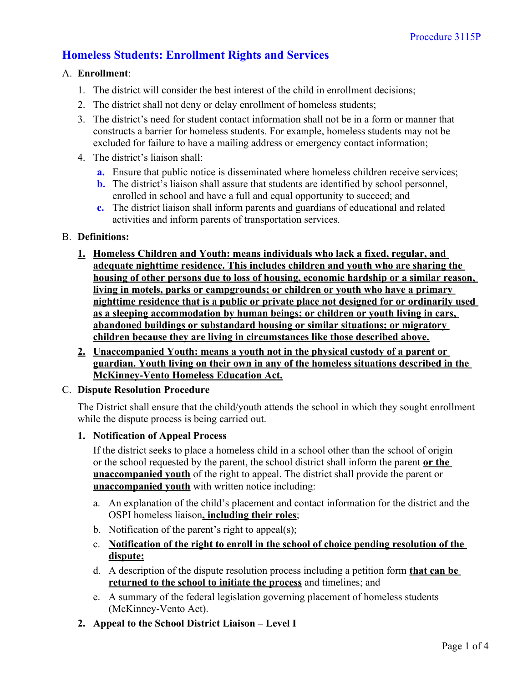# **Homeless Students: Enrollment Rights and Services**

## A. **Enrollment**:

- 1. The district will consider the best interest of the child in enrollment decisions;
- 2. The district shall not deny or delay enrollment of homeless students;
- 3. The district's need for student contact information shall not be in a form or manner that constructs a barrier for homeless students. For example, homeless students may not be excluded for failure to have a mailing address or emergency contact information;
- 4. The district's liaison shall:
	- **a.** Ensure that public notice is disseminated where homeless children receive services;
	- **b.** The district's liaison shall assure that students are identified by school personnel, enrolled in school and have a full and equal opportunity to succeed; and
	- **c.** The district liaison shall inform parents and guardians of educational and related activities and inform parents of transportation services.

#### B. **Definitions:**

- **1. Homeless Children and Youth: means individuals who lack a fixed, regular, and adequate nighttime residence. This includes children and youth who are sharing the housing of other persons due to loss of housing, economic hardship or a similar reason, living in motels, parks or campgrounds; or children or youth who have a primary nighttime residence that is a public or private place not designed for or ordinarily used as a sleeping accommodation by human beings; or children or youth living in cars, abandoned buildings or substandard housing or similar situations; or migratory children because they are living in circumstances like those described above.**
- **2. Unaccompanied Youth: means a youth not in the physical custody of a parent or guardian. Youth living on their own in any of the homeless situations described in the McKinney-Vento Homeless Education Act.**

# C. **Dispute Resolution Procedure**

The District shall ensure that the child/youth attends the school in which they sought enrollment while the dispute process is being carried out.

#### **1. Notification of Appeal Process**

If the district seeks to place a homeless child in a school other than the school of origin or the school requested by the parent, the school district shall inform the parent **or the unaccompanied youth** of the right to appeal. The district shall provide the parent or **unaccompanied youth** with written notice including:

- a. An explanation of the child's placement and contact information for the district and the OSPI homeless liaison**, including their roles**;
- b. Notification of the parent's right to appeal(s);
- c. **Notification of the right to enroll in the school of choice pending resolution of the dispute;**
- d. A description of the dispute resolution process including a petition form **that can be returned to the school to initiate the process** and timelines; and
- e. A summary of the federal legislation governing placement of homeless students (McKinney-Vento Act).
- **2. Appeal to the School District Liaison Level I**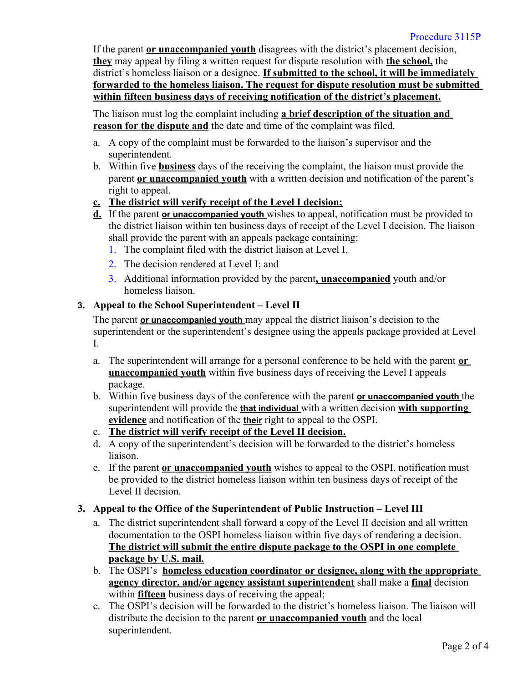If the parent **or unaccompanied youth** disagrees with the district's placement decision, **they** may appeal by filing a written request for dispute resolution with **the school,** the district's homeless liaison or a designee. **If submitted to the school, it will be immediately forwarded to the homeless liaison. The request for dispute resolution must be submitted within fifteen business days of receiving notification of the district's placement.**

The liaison must log the complaint including **a brief description of the situation and reason for the dispute and** the date and time of the complaint was filed.

- a. A copy of the complaint must be forwarded to the liaison's supervisor and the superintendent.
- b. Within five **business** days of the receiving the complaint, the liaison must provide the parent **or unaccompanied youth** with a written decision and notification of the parent's right to appeal.
- **c. The district will verify receipt of the Level I decision;**
- **d.** If the parent **or unaccompanied youth** wishes to appeal, notification must be provided to the district liaison within ten business days of receipt of the Level I decision. The liaison shall provide the parent with an appeals package containing:
	- 1. The complaint filed with the district liaison at Level I,
	- 2. The decision rendered at Level I; and
	- 3. Additional information provided by the parent**, unaccompanied** youth and/or homeless liaison.

# **3. Appeal to the School Superintendent – Level II**

The parent **or unaccompanied youth** may appeal the district liaison's decision to the superintendent or the superintendent's designee using the appeals package provided at Level I.

- a. The superintendent will arrange for a personal conference to be held with the parent **or unaccompanied youth** within five business days of receiving the Level I appeals package.
- b. Within five business days of the conference with the parent **or unaccompanied youth** the superintendent will provide the **that individual** with a written decision **with supporting evidence** and notification of the **their** right to appeal to the OSPI.
- c. **The district will verify receipt of the Level II decision.**
- d. A copy of the superintendent's decision will be forwarded to the district's homeless liaison.
- e. If the parent **or unaccompanied youth** wishes to appeal to the OSPI, notification must be provided to the district homeless liaison within ten business days of receipt of the Level II decision.

# **3. Appeal to the Office of the Superintendent of Public Instruction – Level III**

- a. The district superintendent shall forward a copy of the Level II decision and all written documentation to the OSPI homeless liaison within five days of rendering a decision. **The district will submit the entire dispute package to the OSPI in one complete package by U.S. mail.**
- b. The OSPI's **homeless education coordinator or designee, along with the appropriate agency director, and/or agency assistant superintendent** shall make a **final** decision within **fifteen** business days of receiving the appeal;
- c. The OSPI's decision will be forwarded to the district's homeless liaison. The liaison will distribute the decision to the parent **or unaccompanied youth** and the local superintendent.